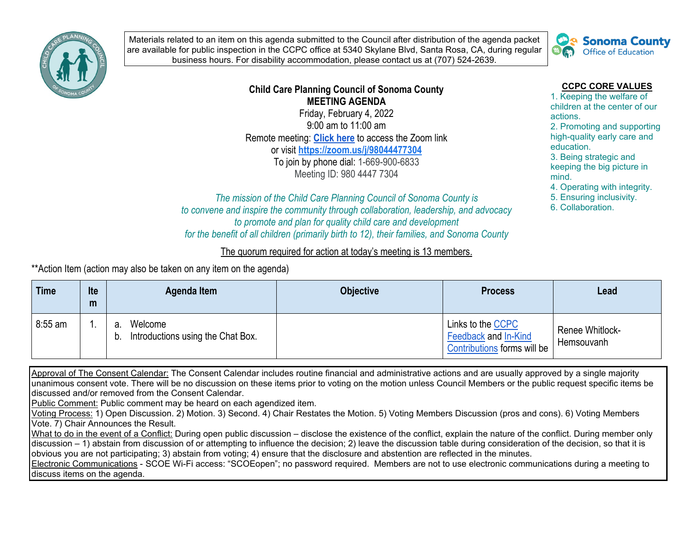

Materials related to an item on this agenda submitted to the Council after distribution of the agenda packet are available for public inspection in the CCPC office at 5340 Skylane Blvd, Santa Rosa, CA, during regular business hours. For disability accommodation, please contact us at (707) 524-2639.



## **Child Care Planning Council of Sonoma County MEETING AGENDA**

Friday, February 4, 2022 9:00 am to 11:00 am Remote meeting: **[Click here](https://zoom.us/j/98044477304)** to access the Zoom link or visit **<https://zoom.us/j/98044477304>** To join by phone dial: 1-669-900-6833 Meeting ID: 980 4447 7304

## **CCPC CORE VALUES**

1. Keeping the welfare of children at the center of our actions.

2. Promoting and supporting high-quality early care and education.

3. Being strategic and keeping the big picture in mind.

4. Operating with integrity.

5. Ensuring inclusivity.

6. Collaboration.

*The mission of the Child Care Planning Council of Sonoma County is to convene and inspire the community through collaboration, leadership, and advocacy to promote and plan for quality child care and development for the benefit of all children (primarily birth to 12), their families, and Sonoma County*

## The quorum required for action at today's meeting is 13 members.

\*\*Action Item (action may also be taken on any item on the agenda)

| <b>Time</b> | <b>Ite</b><br>m | Agenda Item                                              | <b>Objective</b> | <b>Process</b>                                                           | Lead                                 |
|-------------|-----------------|----------------------------------------------------------|------------------|--------------------------------------------------------------------------|--------------------------------------|
| $8:55$ am   |                 | Welcome<br>а.<br>Introductions using the Chat Box.<br>b. |                  | Links to the CCPC<br>Feedback and In-Kind<br>Contributions forms will be | <b>Renee Whitlock-</b><br>Hemsouvanh |

Approval of The Consent Calendar: The Consent Calendar includes routine financial and administrative actions and are usually approved by a single majority unanimous consent vote. There will be no discussion on these items prior to voting on the motion unless Council Members or the public request specific items be discussed and/or removed from the Consent Calendar.

Public Comment: Public comment may be heard on each agendized item.

Voting Process: 1) Open Discussion. 2) Motion. 3) Second. 4) Chair Restates the Motion. 5) Voting Members Discussion (pros and cons). 6) Voting Members Vote. 7) Chair Announces the Result.

What to do in the event of a Conflict: During open public discussion – disclose the existence of the conflict, explain the nature of the conflict. During member only discussion – 1) abstain from discussion of or attempting to influence the decision; 2) leave the discussion table during consideration of the decision, so that it is obvious you are not participating; 3) abstain from voting; 4) ensure that the disclosure and abstention are reflected in the minutes.

Electronic Communications - SCOE Wi-Fi access: "SCOEopen"; no password required. Members are not to use electronic communications during a meeting to discuss items on the agenda.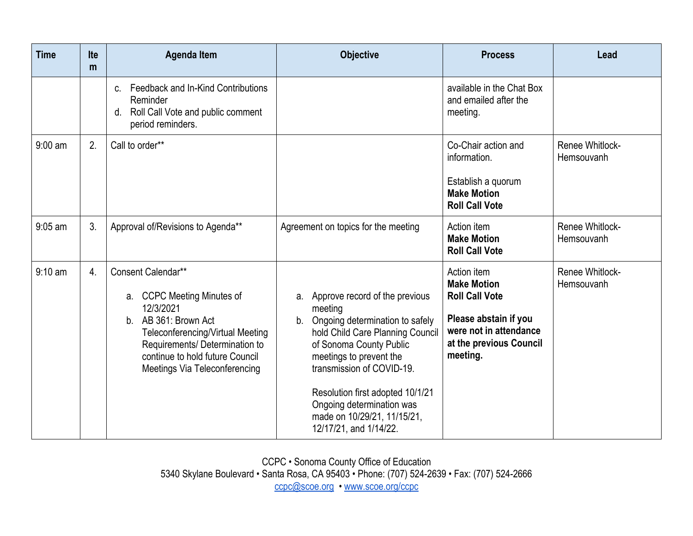| <b>Time</b>       | <b>Ite</b><br>m | <b>Agenda Item</b>                                                                                                                                                                                                                 | <b>Objective</b>                                                                                                                                                                                                                                                                                                                       | <b>Process</b>                                                                                                                                       | Lead                          |
|-------------------|-----------------|------------------------------------------------------------------------------------------------------------------------------------------------------------------------------------------------------------------------------------|----------------------------------------------------------------------------------------------------------------------------------------------------------------------------------------------------------------------------------------------------------------------------------------------------------------------------------------|------------------------------------------------------------------------------------------------------------------------------------------------------|-------------------------------|
|                   |                 | Feedback and In-Kind Contributions<br>$C_{-}$<br>Reminder<br>Roll Call Vote and public comment<br>d.<br>period reminders.                                                                                                          |                                                                                                                                                                                                                                                                                                                                        | available in the Chat Box<br>and emailed after the<br>meeting.                                                                                       |                               |
| $9:00$ am         | 2.              | Call to order**                                                                                                                                                                                                                    |                                                                                                                                                                                                                                                                                                                                        | Co-Chair action and<br>information.<br>Establish a quorum<br><b>Make Motion</b><br><b>Roll Call Vote</b>                                             | Renee Whitlock-<br>Hemsouvanh |
| $9:05$ am         | 3.              | Approval of/Revisions to Agenda**                                                                                                                                                                                                  | Agreement on topics for the meeting                                                                                                                                                                                                                                                                                                    | Action item<br><b>Make Motion</b><br><b>Roll Call Vote</b>                                                                                           | Renee Whitlock-<br>Hemsouvanh |
| $9:10 \text{ am}$ | 4.              | Consent Calendar**<br>a. CCPC Meeting Minutes of<br>12/3/2021<br>AB 361: Brown Act<br>b.<br>Teleconferencing/Virtual Meeting<br>Requirements/ Determination to<br>continue to hold future Council<br>Meetings Via Teleconferencing | a. Approve record of the previous<br>meeting<br>Ongoing determination to safely<br>b.<br>hold Child Care Planning Council<br>of Sonoma County Public<br>meetings to prevent the<br>transmission of COVID-19.<br>Resolution first adopted 10/1/21<br>Ongoing determination was<br>made on 10/29/21, 11/15/21,<br>12/17/21, and 1/14/22. | Action item<br><b>Make Motion</b><br><b>Roll Call Vote</b><br>Please abstain if you<br>were not in attendance<br>at the previous Council<br>meeting. | Renee Whitlock-<br>Hemsouvanh |

CCPC • Sonoma County Office of Education 5340 Skylane Boulevard • Santa Rosa, CA 95403 • Phone: (707) 524-2639 • Fax: (707) 524-2666 [ccpc@scoe.org](mailto:ccpc@scoe.org) • [www.scoe.org/ccpc](http://www.scoe.org/ccpc)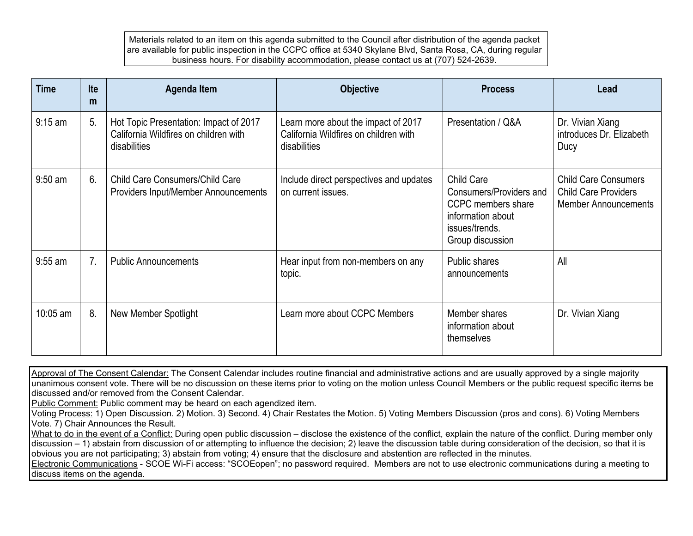Materials related to an item on this agenda submitted to the Council after distribution of the agenda packet are available for public inspection in the CCPC office at 5340 Skylane Blvd, Santa Rosa, CA, during regular business hours. For disability accommodation, please contact us at (707) 524-2639.

| <b>Time</b> | Ite<br>m | Agenda Item                                                                                     | <b>Objective</b>                                                                             | <b>Process</b>                                                                                                                | Lead                                                                                      |
|-------------|----------|-------------------------------------------------------------------------------------------------|----------------------------------------------------------------------------------------------|-------------------------------------------------------------------------------------------------------------------------------|-------------------------------------------------------------------------------------------|
| $9:15$ am   | 5.       | Hot Topic Presentation: Impact of 2017<br>California Wildfires on children with<br>disabilities | Learn more about the impact of 2017<br>California Wildfires on children with<br>disabilities | Presentation / Q&A                                                                                                            | Dr. Vivian Xiang<br>introduces Dr. Elizabeth<br>Ducy                                      |
| $9:50$ am   | 6.       | <b>Child Care Consumers/Child Care</b><br>Providers Input/Member Announcements                  | Include direct perspectives and updates<br>on current issues.                                | <b>Child Care</b><br>Consumers/Providers and<br>CCPC members share<br>information about<br>issues/trends.<br>Group discussion | <b>Child Care Consumers</b><br><b>Child Care Providers</b><br><b>Member Announcements</b> |
| $9:55$ am   | 7.       | <b>Public Announcements</b>                                                                     | Hear input from non-members on any<br>topic.                                                 | Public shares<br>announcements                                                                                                | All                                                                                       |
| 10:05 am    | 8.       | New Member Spotlight                                                                            | Learn more about CCPC Members                                                                | Member shares<br>information about<br>themselves                                                                              | Dr. Vivian Xiang                                                                          |

Approval of The Consent Calendar: The Consent Calendar includes routine financial and administrative actions and are usually approved by a single majority unanimous consent vote. There will be no discussion on these items prior to voting on the motion unless Council Members or the public request specific items be discussed and/or removed from the Consent Calendar.

Public Comment: Public comment may be heard on each agendized item.

Voting Process: 1) Open Discussion. 2) Motion. 3) Second. 4) Chair Restates the Motion. 5) Voting Members Discussion (pros and cons). 6) Voting Members Vote. 7) Chair Announces the Result.

What to do in the event of a Conflict: During open public discussion – disclose the existence of the conflict, explain the nature of the conflict. During member only discussion – 1) abstain from discussion of or attempting to influence the decision; 2) leave the discussion table during consideration of the decision, so that it is obvious you are not participating; 3) abstain from voting; 4) ensure that the disclosure and abstention are reflected in the minutes.

Electronic Communications - SCOE Wi-Fi access: "SCOEopen"; no password required. Members are not to use electronic communications during a meeting to discuss items on the agenda.